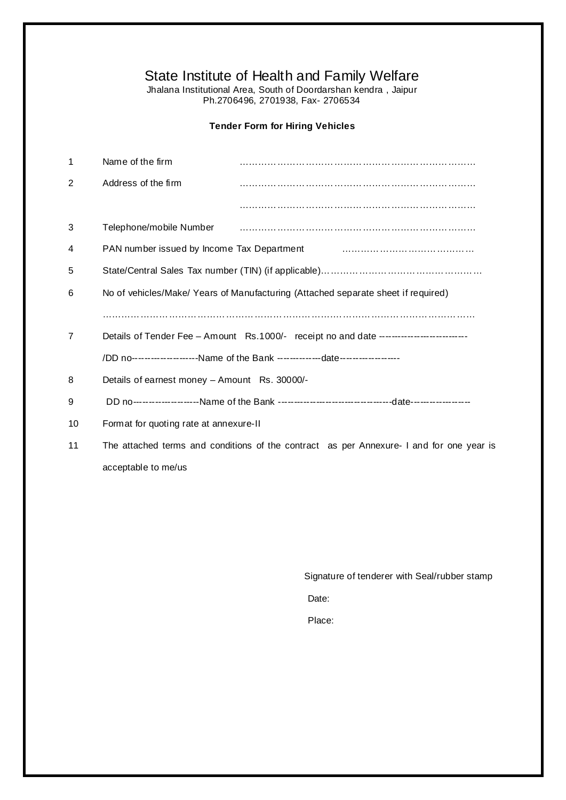# State Institute of Health and Family Welfare

Jhalana Institutional Area, South of Doordarshan kendra , Jaipur Ph.2706496, 2701938, Fax- 2706534

## **Tender Form for Hiring Vehicles**

| 1  | Name of the firm                                                                  |                                                                                          |  |  |  |  |  |  |
|----|-----------------------------------------------------------------------------------|------------------------------------------------------------------------------------------|--|--|--|--|--|--|
| 2  | Address of the firm                                                               |                                                                                          |  |  |  |  |  |  |
|    |                                                                                   |                                                                                          |  |  |  |  |  |  |
| 3  | Telephone/mobile Number                                                           |                                                                                          |  |  |  |  |  |  |
| 4  | PAN number issued by Income Tax Department                                        |                                                                                          |  |  |  |  |  |  |
| 5  |                                                                                   |                                                                                          |  |  |  |  |  |  |
| 6  | No of vehicles/Make/ Years of Manufacturing (Attached separate sheet if required) |                                                                                          |  |  |  |  |  |  |
|    |                                                                                   |                                                                                          |  |  |  |  |  |  |
| 7  |                                                                                   | Details of Tender Fee - Amount Rs.1000/- receipt no and date --------------------------  |  |  |  |  |  |  |
|    |                                                                                   | /DD no-------------------Name of the Bank --------------date-------------------          |  |  |  |  |  |  |
| 8  | Details of earnest money - Amount Rs. 30000/-                                     |                                                                                          |  |  |  |  |  |  |
| 9  |                                                                                   |                                                                                          |  |  |  |  |  |  |
| 10 | Format for quoting rate at annexure-II                                            |                                                                                          |  |  |  |  |  |  |
| 11 |                                                                                   | The attached terms and conditions of the contract as per Annexure- I and for one year is |  |  |  |  |  |  |
|    |                                                                                   |                                                                                          |  |  |  |  |  |  |

acceptable to me/us

Signature of tenderer with Seal/rubber stamp

Date:

Place: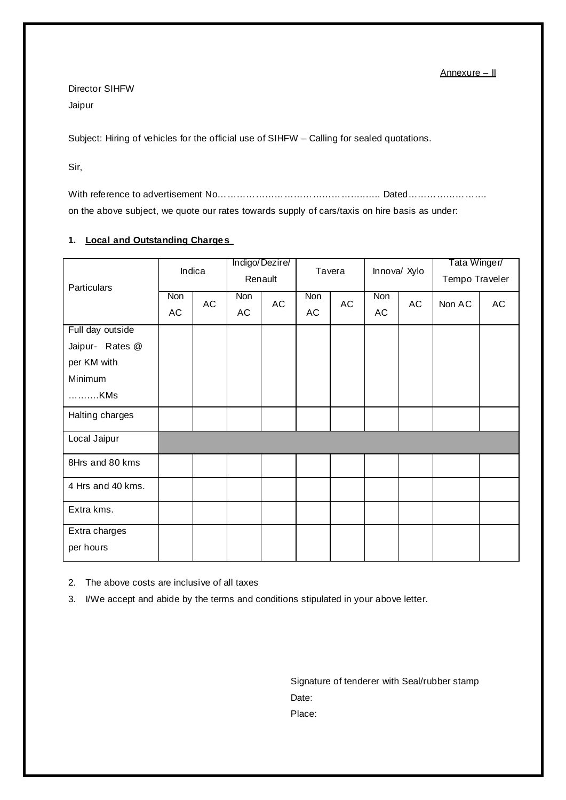Annexure – II

Director SIHFW Jaipur

Subject: Hiring of vehicles for the official use of SIHFW – Calling for sealed quotations.

Sir,

With reference to advertisement No………………………………………..….. Dated……………………. on the above subject, we quote our rates towards supply of cars/taxis on hire basis as under:

### **1. Local and Outstanding Charges**

| Particulars                | Indica    |    | Indigo/Dezire/<br>Renault |    | Tavera    |    | Innova/ Xylo |    | Tata Winger/<br>Tempo Traveler |    |
|----------------------------|-----------|----|---------------------------|----|-----------|----|--------------|----|--------------------------------|----|
|                            | Non<br>AC | AC | Non<br>AC                 | AC | Non<br>AC | AC | Non<br>AC    | AC | Non AC                         | AC |
| Full day outside           |           |    |                           |    |           |    |              |    |                                |    |
| Jaipur- Rates @            |           |    |                           |    |           |    |              |    |                                |    |
| per KM with                |           |    |                           |    |           |    |              |    |                                |    |
| Minimum                    |           |    |                           |    |           |    |              |    |                                |    |
| KMs                        |           |    |                           |    |           |    |              |    |                                |    |
| Halting charges            |           |    |                           |    |           |    |              |    |                                |    |
| Local Jaipur               |           |    |                           |    |           |    |              |    |                                |    |
| 8Hrs and 80 kms            |           |    |                           |    |           |    |              |    |                                |    |
| 4 Hrs and 40 kms.          |           |    |                           |    |           |    |              |    |                                |    |
| Extra kms.                 |           |    |                           |    |           |    |              |    |                                |    |
| Extra charges<br>per hours |           |    |                           |    |           |    |              |    |                                |    |

2. The above costs are inclusive of all taxes

3. I/We accept and abide by the terms and conditions stipulated in your above letter.

Signature of tenderer with Seal/rubber stamp Date: Place: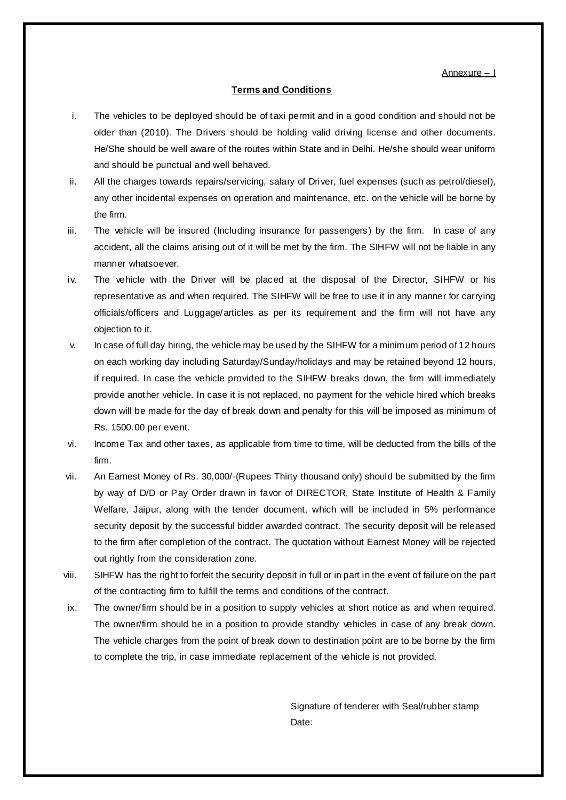Annexure – I

#### **Terms and Conditions**

- i. The vehicles to be deployed should be of taxi permit and in a good condition and should not be older than (2010). The Drivers should be holding valid driving license and other documents. He/She should be well aware of the routes within State and in Delhi. He/she should wear uniform and should be punctual and well behaved.
- ii. All the charges towards repairs/servicing, salary of Driver, fuel expenses (such as petrol/diesel), any other incidental expenses on operation and maintenance, etc. on the vehicle will be borne by the firm.
- iii. The vehicle will be insured (Including insurance for passengers) by the firm. In case of any accident, all the claims arising out of it will be met by the firm. The SIHFW will not be liable in any manner whatsoever.
- iv. The vehicle with the Driver will be placed at the disposal of the Director, SIHFW or his representative as and when required. The SIHFW will be free to use it in any manner for carrying officials/officers and Luggage/articles as per its requirement and the firm will not have any objection to it.
- v. In case of full day hiring, the vehicle may be used by the SIHFW for a minimum period of 12 hours on each working day including Saturday/Sunday/holidays and may be retained beyond 12 hours, if required. In case the vehicle provided to the SIHFW breaks down, the firm will immediately provide another vehicle. In case it is not replaced, no payment for the vehicle hired which breaks down will be made for the day of break down and penalty for this will be imposed as minimum of Rs. 1500.00 per event.
- vi. Income Tax and other taxes, as applicable from time to time, will be deducted from the bills of the firm.
- vii. An Earnest Money of Rs. 30,000/-(Rupees Thirty thousand only) should be submitted by the firm by way of D/D or Pay Order drawn in favor of DIRECTOR, State Institute of Health & Family Welfare, Jaipur, along with the tender document, which will be included in 5% performance security deposit by the successful bidder awarded contract. The security deposit will be released to the firm after completion of the contract. The quotation without Earnest Money will be rejected out rightly from the consideration zone.
- viii. SIHFW has the right to forfeit the security deposit in full or in part in the event of failure on the part of the contracting firm to fulfill the terms and conditions of the contract.
- ix. The owner/firm should be in a position to supply vehicles at short notice as and when required. The owner/firm should be in a position to provide standby vehicles in case of any break down. The vehicle charges from the point of break down to destination point are to be borne by the firm to complete the trip, in case immediate replacement of the vehicle is not provided.

Signature of tenderer with Seal/rubber stamp Date: